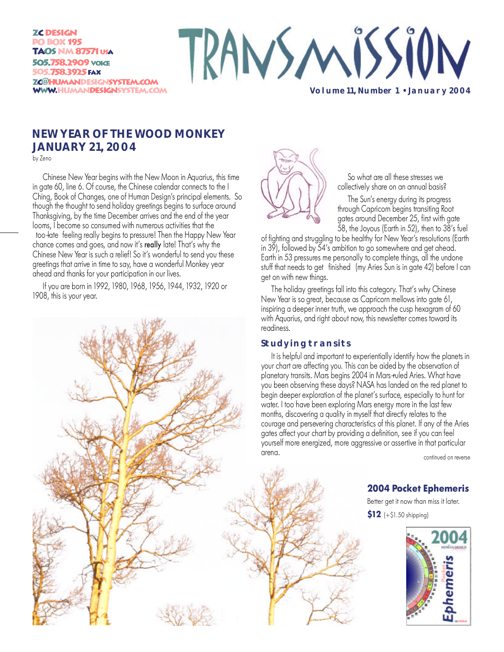**ZC DESIGN PO BOX 195 TAOS NM 87571 USA** 505.758.2909 VOICE 505.758.3925 FAX ZC@HUMANDESIGNSYSTEM.COM **WWW.HUMANDESIGNSYSTEM.COM** 



**Volume 11, Number 1 • January 2004**

# **NEW YEAR OF THE WOOD MONKEY JANUARY 21, 2004**

by Zeno

Chinese New Year begins with the New Moon in Aquarius, this time in gate 60, line 6. Of course, the Chinese calendar connects to the I Ching, Book of Changes, one of Human Design's principal elements. So though the thought to send holiday greetings begins to surface around Thanksgiving, by the time December arrives and the end of the year looms, I become so consumed with numerous activities that the too-late feeling really begins to pressure! Then the Happy New Year chance comes and goes, and now it's really late! That's why the Chinese New Year is such a relief! So it's wonderful to send you these greetings that arrive in time to say, have a wonderful Monkey year ahead and thanks for your participation in our lives.

If you are born in 1992, 1980, 1968, 1956, 1944, 1932, 1920 or 1908, this is your year.



So what are all these stresses we collectively share on an annual basis?

The Sun's energy during its progress through Capricorn begins transiting Root gates around December 25, first with gate 58, the Joyous (Earth in 52), then to 38's fuel

of fighting and struggling to be healthy for New Year's resolutions (Earth in 39), followed by 54's ambition to go somewhere and get ahead. Earth in 53 pressures me personally to complete things, all the undone stuff that needs to get finished (my Aries Sun is in gate 42) before I can get on with new things.

The holiday greetings fall into this category. That's why Chinese New Year is so great, because as Capricorn mellows into gate 61, inspiring a deeper inner truth, we approach the cusp hexagram of 60 with Aquarius, and right about now, this newsletter comes toward its readiness.

### **Studying transits**

It is helpful and important to experientially identify how the planets in your chart are affecting you. This can be aided by the observation of planetary transits. Mars begins 2004 in Mars-ruled Aries. What have you been observing these days? NASA has landed on the red planet to begin deeper exploration of the planet's surface, especially to hunt for water. I too have been exploring Mars energy more in the last few months, discovering a quality in myself that directly relates to the courage and persevering characteristics of this planet. If any of the Aries gates affect your chart by providing a definition, see if you can feel yourself more energized, more aggressive or assertive in that particular arena.

continued on reverse

## **2004 Pocket Ephemeris**

Better get it now than miss it later.

**\$12** (+\$1.50 shipping)